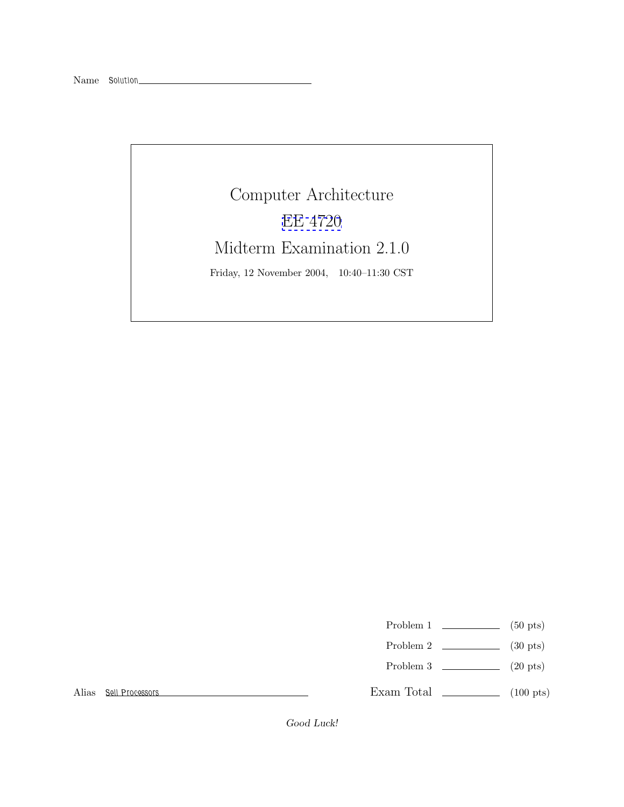## Computer Architecture [EE 4720](http://www.ece.lsu.edu/ee4720/) Midterm Examination 2.1.0 Friday, 12 November 2004, 10:40–11:30 CST

- Problem 1  $\qquad \qquad$  (50 pts)
- Problem 2  $\qquad \qquad$  (30 pts)
- Problem 3  $\qquad \qquad$  (20 pts)

Alias *Sell Processors*

Exam Total  $\qquad \qquad$  (100 pts)

Good Luck!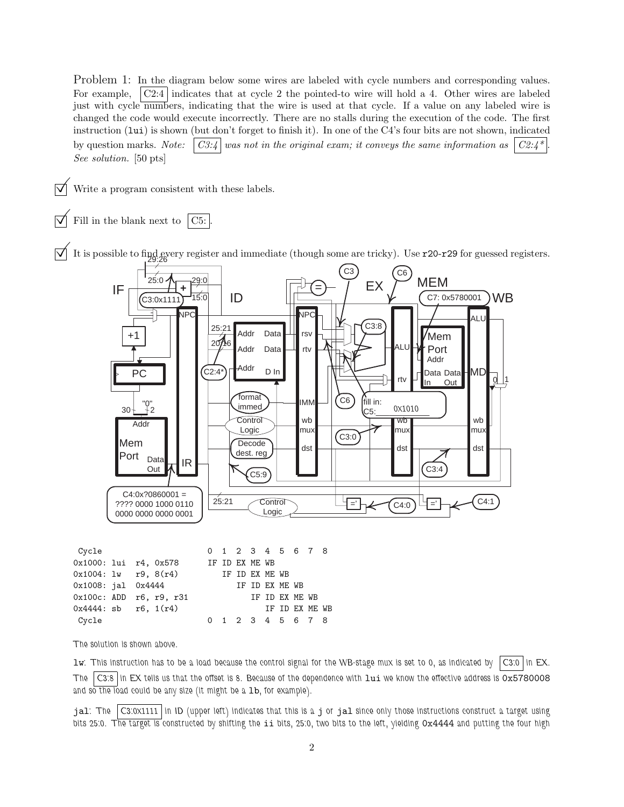Problem 1: In the diagram below some wires are labeled with cycle numbers and corresponding values. For example,  $\vert \text{C2:4} \vert$  indicates that at cycle 2 the pointed-to wire will hold a 4. Other wires are labeled just with cycle numbers, indicating that the wire is used at that cycle. If a value on any labeled wire is changed the code would execute incorrectly. There are no stalls during the execution of the code. The first instruction (lui) is shown (but don't forget to finish it). In one of the C4's four bits are not shown, indicated by question marks. *Note:*  $\begin{bmatrix} C3.4 \end{bmatrix}$  was not in the original exam; it conveys the same information as  $\begin{bmatrix} C2.4 \end{bmatrix}$ *See solution.* [50 pts]

Write a program consistent with these labels.

Fill in the blank next to  $|C5:$ 

It is possible to find every register and immediate (though some are tricky). Use  $\mathbf{r}$ 20- $\mathbf{r}$ 29 for guessed registers.



| Cycle                    |  |                | 0 1 2 3 4 5 6 7 8 |                |                |  |                |  |
|--------------------------|--|----------------|-------------------|----------------|----------------|--|----------------|--|
| 0x1000: lui r4, 0x578    |  |                | IF ID EX ME WB    |                |                |  |                |  |
| $0x1004: 1w$ r9, $8(r4)$ |  | IF ID EX ME WB |                   |                |                |  |                |  |
| $0x1008:$ jal $0x4444$   |  |                |                   | IF ID EX ME WB |                |  |                |  |
| 0x100c: ADD r6, r9, r31  |  |                |                   |                | IF ID EX ME WB |  |                |  |
| $0x4444:$ sb r6, $1(r4)$ |  |                |                   |                |                |  | IF ID EX ME WB |  |
| Cycle                    |  |                | 0 1 2 3 4 5 6 7 8 |                |                |  |                |  |
|                          |  |                |                   |                |                |  |                |  |

*The solution is shown above.*

lw*: This instruction has to be a load because the control signal for the WB-stage mux is set to 0, as indicated by C3:0 in EX. The C3:8 in EX tells us that the offset is 8. Because of the dependence with* lui *we know the effective address is* 0x5780008 and so the load could be any size (it might be a 1b, for example).

jal*: The C3:0x1111 in ID (upper left) indicates that this is a* j *or* jal *since only those instructions construct a target using bits 25:0. The target is constructed by shifting the* ii *bits, 25:0, two bits to the left, yielding* 0x4444 *and putting the four high*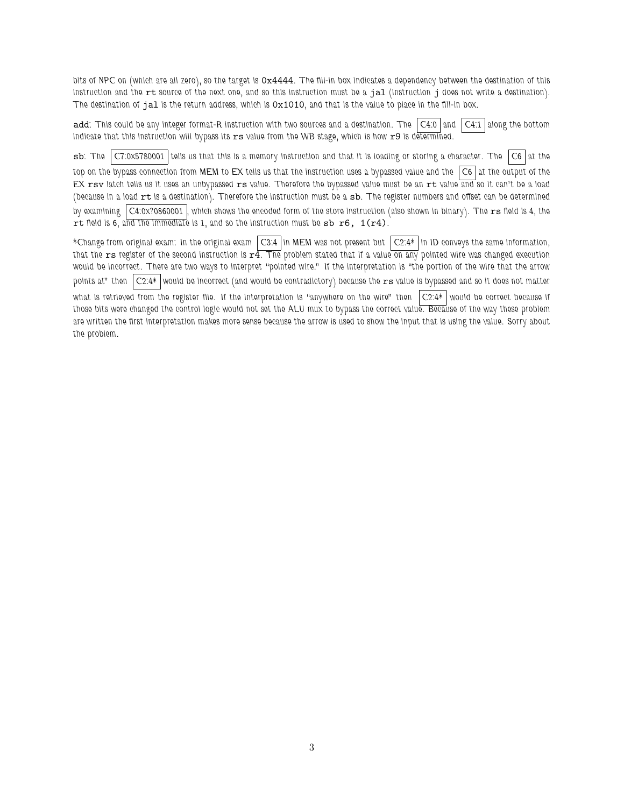*bits of NPC on (which are all zero), so the target is* 0x4444*. The fill-in box indicates a dependency between the destination of this instruction and the* rt *source of the next one, and so this instruction must be a* jal *(instruction* j *does not write a destination). The destination of* jal *is the return address, which is* 0x1010*, and that is the value to place in the fill-in box.*

add*: This could be any integer format-R instruction with two sources and a destination. The C4:0 and C4:1 along the bottom indicate that this instruction will bypass its* rs *value from the WB stage, which is how* r9 *is determined.*

sb*: The C7:0x5780001 tells us that this is a memory instruction and that it is loading or storing a character. The C6 at the top on the bypass connection from MEM to EX tells us that the instruction uses a bypassed value and the C6 at the output of the EX* rsv *latch tells us it uses an unbypassed* rs *value. Therefore the bypassed value must be an* rt *value and so it can't be a load (because in a load* rt *is a destination). Therefore the instruction must be a* sb*. The register numbers and offset can be determined* by examining  $\vert$  C4:0x?0860001  $\vert$ , which shows the encoded form of the store instruction (also shown in binary). The rs field is 4, the rt *field is 6, and the immediate is 1, and so the instruction must be* sb r6, 1(r4)*.*

*\*Change from original exam: In the original exam C3:4 in MEM was not present but C2:4\* in ID conveys the same information, that the* rs *register of the second instruction is* r4*. The problem stated that if a value on any pointed wire was changed execution would be incorrect. There are two ways to interpret "pointed wire." If the interpretation is "the portion of the wire that the arrow points at" then C2:4\* would be incorrect (and would be contradictory) because the* rs *value is bypassed and so it does not matter what is retrieved from the register file. If the interpretation is "anywhere on the wire" then C2:4\* would be correct because if those bits were changed the control logic would not set the ALU mux to bypass the correct value. Because of the way these problem are written the first interpretation makes more sense because the arrow is used to show the input that is using the value. Sorry about the problem.*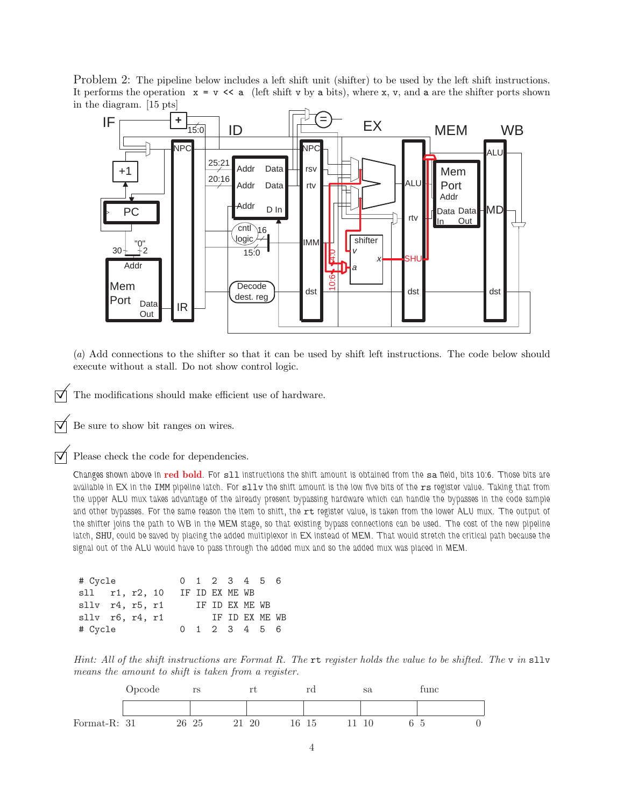Problem 2: The pipeline below includes a left shift unit (shifter) to be used by the left shift instructions. It performs the operation  $x = y \ll a$  (left shift v by a bits), where x, v, and a are the shifter ports shown in the diagram. [15 pts]



(*a*) Add connections to the shifter so that it can be used by shift left instructions. The code below should execute without a stall. Do not show control logic.

The modifications should make efficient use of hardware.

Be sure to show bit ranges on wires.

Please check the code for dependencies.

*Changes shown above in* **red bold***. For* sll *instructions the shift amount is obtained from the* sa *field, bits 10:6. Those bits are available in EX in the* IMM *pipeline latch. For* sllv *the shift amount is the low five bits of the* rs *register value. Taking that from the upper ALU mux takes advantage of the already present bypassing hardware which can handle the bypasses in the code sample* and other bypasses. For the same reason the item to shift, the rt register value, is taken from the lower ALU mux. The output of *the shifter joins the path to WB in the MEM stage, so that existing bypass connections can be used. The cost of the new pipeline latch,* SHU*, could be saved by placing the added multiplexor in EX instead of MEM. That would stretch the critical path because the signal out of the ALU would have to pass through the added mux and so the added mux was placed in MEM.*

| # Cycle                   |  | 0 1 2 3 4 5 6  |  |                             |  |  |
|---------------------------|--|----------------|--|-----------------------------|--|--|
| sll r1, r2, 10            |  |                |  | IF ID EX ME WB              |  |  |
| $sllv$ $r4$ , $r5$ , $r1$ |  | IF ID EX ME WB |  |                             |  |  |
| $sllv$ $r6$ , $r4$ , $r1$ |  |                |  | IF ID EX ME WB              |  |  |
| # Cycle                   |  |                |  | $0 \t1 \t2 \t3 \t4 \t5 \t6$ |  |  |

*Hint: All of the shift instructions are Format R. The* rt *register holds the value to be shifted. The* v *in* sllv *means the amount to shift is taken from a register.*

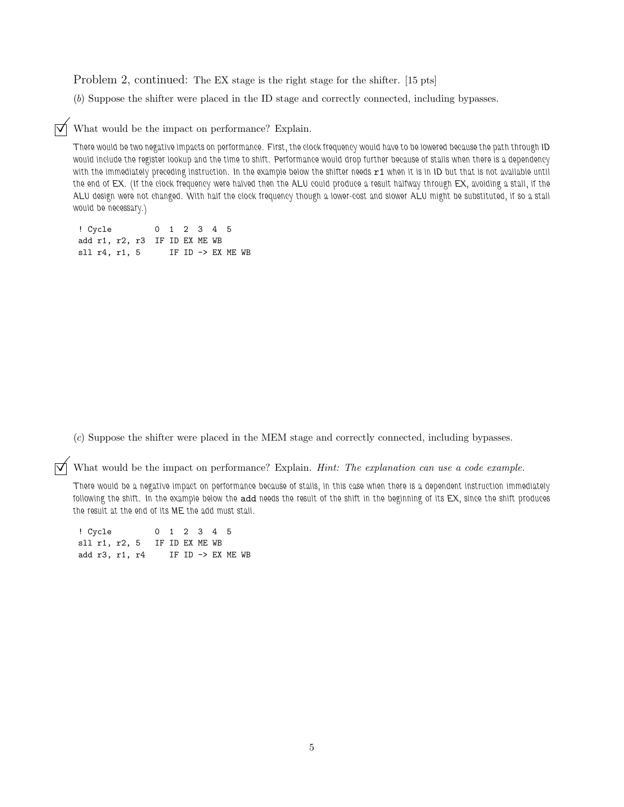Problem 2, continued: The EX stage is the right stage for the shifter. [15 pts]

(*b*) Suppose the shifter were placed in the ID stage and correctly connected, including bypasses.

 $\triangledown$  What would be the impact on performance? Explain.

*There would be two negative impacts on performance. First, the clock frequency would have to be lowered because the path through ID would include the register lookup and the time to shift. Performance would drop further because of stalls when there is a dependency* with the immediately preceding instruction. In the example below the shifter needs  $r1$  when it is in ID but that is not available until *the end of EX. (If the clock frequency were halved then the ALU could produce a result halfway through EX, avoiding a stall, if the ALU design were not changed. With half the clock frequency though a lower-cost and slower ALU might be substituted, if so a stall would be necessary.)*

! Cycle 012345 add r1, r2, r3 IF ID EX ME WB sll r4, r1, 5 IF ID -> EX ME WB

(*c*) Suppose the shifter were placed in the MEM stage and correctly connected, including bypasses.

© What would be the impact on performance? Explain. *Hint: The explanation can use a code example.*

*There would be a negative impact on performance because of stalls, in this case when there is a dependent instruction immediately following the shift. In the example below the* add *needs the result of the shift in the beginning of its EX, since the shift produces the result at the end of its ME the add must stall.*

! Cycle 012345 sll r1, r2, 5 IF ID EX ME WB add r3, r1, r4 IF ID -> EX ME WB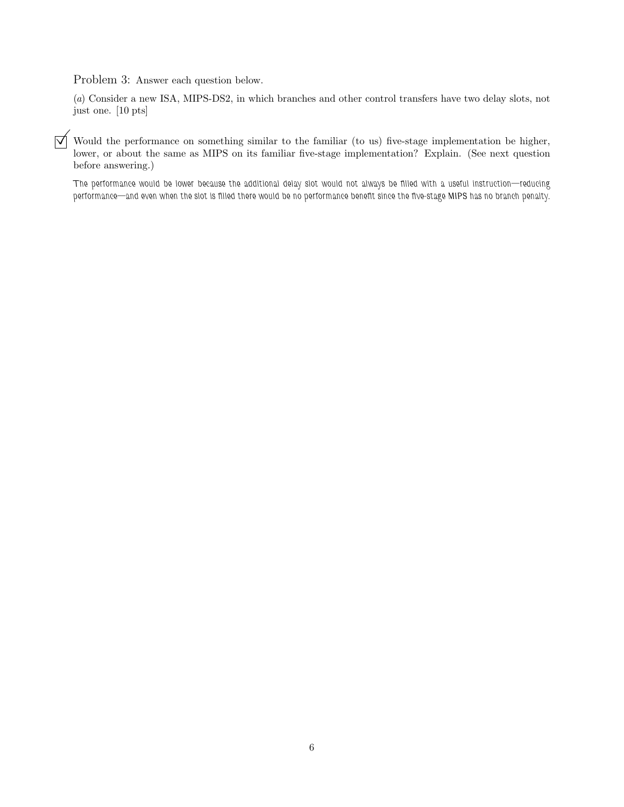Problem 3: Answer each question below.

(*a*) Consider a new ISA, MIPS-DS2, in which branches and other control transfers have two delay slots, not just one. [10 pts]

 $\overline{y}$  Would the performance on something similar to the familiar (to us) five-stage implementation be higher, lower, or about the same as MIPS on its familiar five-stage implementation? Explain. (See next question before answering.)

*The performance would be lower because the additional delay slot would not always be filled with a useful instruction—reducing performance—and even when the slot is filled there would be no performance benefit since the five-stage MIPS has no branch penalty.*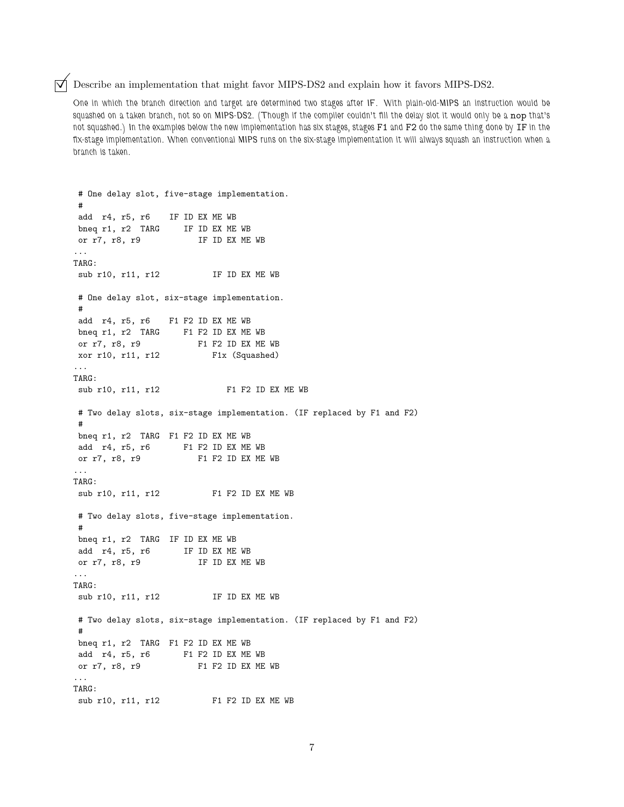$\triangledown$  Describe an implementation that might favor MIPS-DS2 and explain how it favors MIPS-DS2.

*One in which the branch direction and target are determined two stages after IF. With plain-old-MIPS an instruction would be squashed on a taken branch, not so on MIPS-DS2. (Though if the compiler couldn't fill the delay slot it would only be a* nop *that's not squashed.) In the examples below the new implementation has six stages, stages* F1 *and* F2 *do the same thing done by* IF *in the fix-stage implementation. When conventional MIPS runs on the six-stage implementation it will always squash an instruction when a branch is taken.*

```
# One delay slot, five-stage implementation.
 #
add r4, r5, r6 IF ID EX ME WB
bneq r1, r2 TARG IF ID EX ME WB
or r7, r8, r9 IF ID EX ME WB
...
TARG:
sub r10, r11, r12 IF ID EX ME WB
# One delay slot, six-stage implementation.
#
add r4, r5, r6 F1 F2 ID EX ME WB
bneq r1, r2 TARG F1 F2 ID EX ME WB
or r7, r8, r9<br>
xor r10, r11, r12<br>
F1x (Squashed)
                     F1x (Squashed)
...
TARG:
sub r10, r11, r12 F1 F2 ID EX ME WB
# Two delay slots, six-stage implementation. (IF replaced by F1 and F2)
 #
bneq r1, r2 TARG F1 F2 ID EX ME WB
add r4, r5, r6 F1 F2 ID EX ME WB
or r7, r8, r9 F1 F2 ID EX ME WB
...
TARG:
sub r10, r11, r12 F1 F2 ID EX ME WB
# Two delay slots, five-stage implementation.
 #
bneq r1, r2 TARG IF ID EX ME WB
add r4, r5, r6 IF ID EX ME WB
or r7, r8, r9 IF ID EX ME WB
...
TARG:
sub r10, r11, r12 IF ID EX ME WB
# Two delay slots, six-stage implementation. (IF replaced by F1 and F2)
#
bneq r1, r2 TARG F1 F2 ID EX ME WB
add r4, r5, r6 F1 F2 ID EX ME WB
or r7, r8, r9 F1 F2 ID EX ME WB
...
TARG:
sub r10, r11, r12 F1 F2 ID EX ME WB
```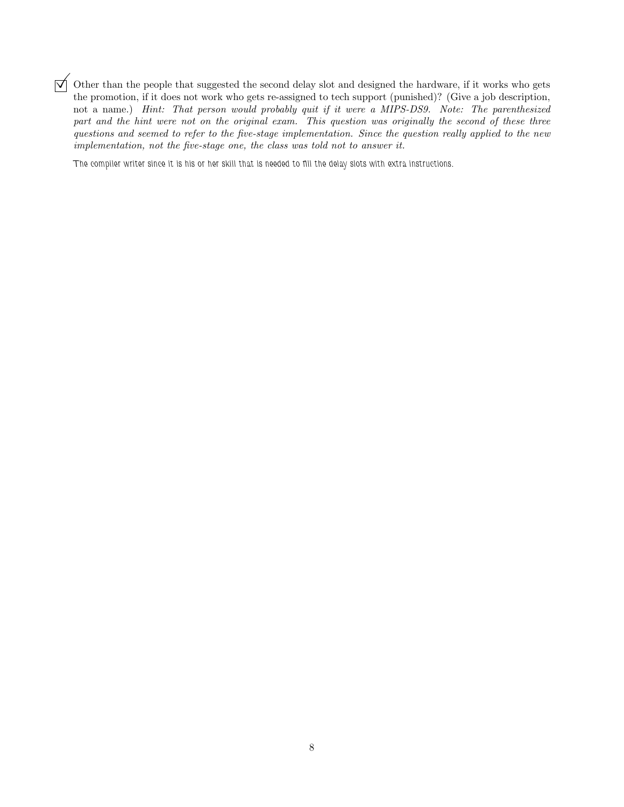$\overline{y}$  Other than the people that suggested the second delay slot and designed the hardware, if it works who gets the promotion, if it does not work who gets re-assigned to tech support (punished)? (Give a job descripti not a name.) *Hint: That person would probably quit if it were a MIPS-DS9. Note: The parenthesized part and the hint were not on the original exam. This question was originally the second of these three questions and seemed to refer to the five-stage implementation. Since the question really applied to the new implementation, not the five-stage one, the class was told not to answer it.*

*The compiler writer since it is his or her skill that is needed to fill the delay slots with extra instructions.*